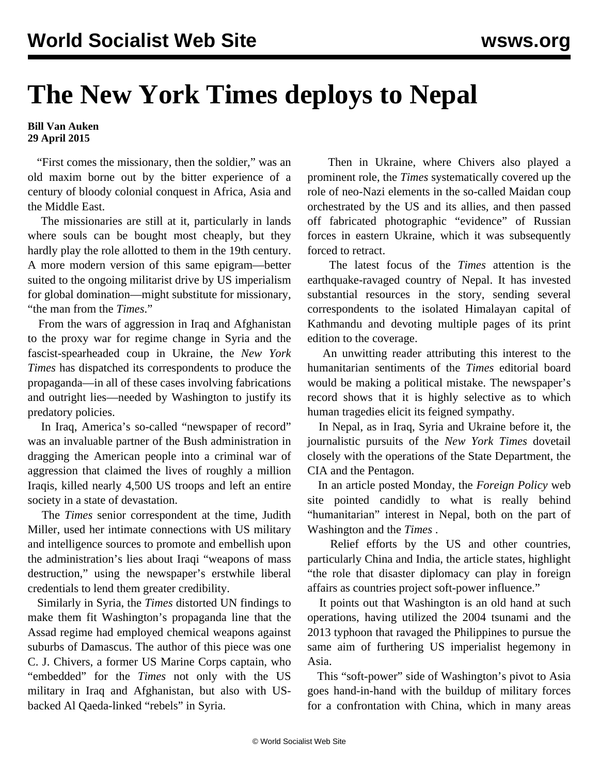## **The New York Times deploys to Nepal**

## **Bill Van Auken 29 April 2015**

 "First comes the missionary, then the soldier," was an old maxim borne out by the bitter experience of a century of bloody colonial conquest in Africa, Asia and the Middle East.

 The missionaries are still at it, particularly in lands where souls can be bought most cheaply, but they hardly play the role allotted to them in the 19th century. A more modern version of this same epigram—better suited to the ongoing militarist drive by US imperialism for global domination—might substitute for missionary, "the man from the *Times*."

 From the wars of aggression in Iraq and Afghanistan to the proxy war for regime change in Syria and the fascist-spearheaded coup in Ukraine, the *New York Times* has dispatched its correspondents to produce the propaganda—in all of these cases involving fabrications and outright lies—needed by Washington to justify its predatory policies.

 In Iraq, America's so-called "newspaper of record" was an invaluable partner of the Bush administration in dragging the American people into a criminal war of aggression that claimed the lives of roughly a million Iraqis, killed nearly 4,500 US troops and left an entire society in a state of devastation.

 The *Times* senior correspondent at the time, Judith Miller, used her intimate connections with US military and intelligence sources to promote and embellish upon the administration's lies about Iraqi "weapons of mass destruction," using the newspaper's erstwhile liberal credentials to lend them greater credibility.

 Similarly in Syria, the *Times* distorted UN findings to make them fit Washington's propaganda line that the Assad regime had employed chemical weapons against suburbs of Damascus. The author of this piece was one C. J. Chivers, a former US Marine Corps captain, who "embedded" for the *Times* not only with the US military in Iraq and Afghanistan, but also with USbacked Al Qaeda-linked "rebels" in Syria.

 Then in Ukraine, where Chivers also played a prominent role, the *Times* systematically covered up the role of neo-Nazi elements in the so-called Maidan coup orchestrated by the US and its allies, and then passed off fabricated photographic "evidence" of Russian forces in eastern Ukraine, which it was subsequently forced to retract.

 The latest focus of the *Times* attention is the earthquake-ravaged country of Nepal. It has invested substantial resources in the story, sending several correspondents to the isolated Himalayan capital of Kathmandu and devoting multiple pages of its print edition to the coverage.

 An unwitting reader attributing this interest to the humanitarian sentiments of the *Times* editorial board would be making a political mistake. The newspaper's record shows that it is highly selective as to which human tragedies elicit its feigned sympathy.

 In Nepal, as in Iraq, Syria and Ukraine before it, the journalistic pursuits of the *New York Times* dovetail closely with the operations of the State Department, the CIA and the Pentagon.

 In an article posted Monday, the *Foreign Policy* web site pointed candidly to what is really behind "humanitarian" interest in Nepal, both on the part of Washington and the *Times* .

 Relief efforts by the US and other countries, particularly China and India, the article states, highlight "the role that disaster diplomacy can play in foreign affairs as countries project soft-power influence."

 It points out that Washington is an old hand at such operations, having utilized the 2004 tsunami and the 2013 typhoon that ravaged the Philippines to pursue the same aim of furthering US imperialist hegemony in Asia.

 This "soft-power" side of Washington's pivot to Asia goes hand-in-hand with the buildup of military forces for a confrontation with China, which in many areas